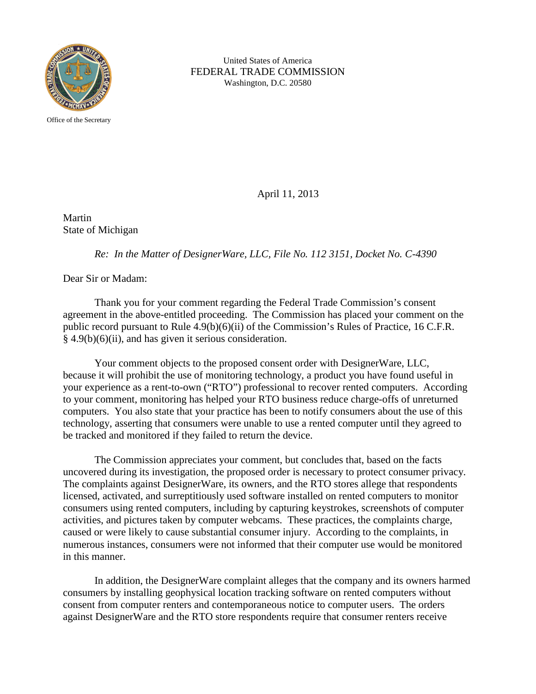

United States of America FEDERAL TRADE COMMISSION Washington, D.C. 20580

Office of the Secretary

April 11, 2013

Martin State of Michigan

*Re: In the Matter of DesignerWare, LLC, File No. 112 3151, Docket No. C-4390*

Dear Sir or Madam:

Thank you for your comment regarding the Federal Trade Commission's consent agreement in the above-entitled proceeding. The Commission has placed your comment on the public record pursuant to Rule 4.9(b)(6)(ii) of the Commission's Rules of Practice, 16 C.F.R.  $§$  4.9(b)(6)(ii), and has given it serious consideration.

Your comment objects to the proposed consent order with DesignerWare, LLC, because it will prohibit the use of monitoring technology, a product you have found useful in your experience as a rent-to-own ("RTO") professional to recover rented computers. According to your comment, monitoring has helped your RTO business reduce charge-offs of unreturned computers. You also state that your practice has been to notify consumers about the use of this technology, asserting that consumers were unable to use a rented computer until they agreed to be tracked and monitored if they failed to return the device.

The Commission appreciates your comment, but concludes that, based on the facts uncovered during its investigation, the proposed order is necessary to protect consumer privacy. The complaints against DesignerWare, its owners, and the RTO stores allege that respondents licensed, activated, and surreptitiously used software installed on rented computers to monitor consumers using rented computers, including by capturing keystrokes, screenshots of computer activities, and pictures taken by computer webcams. These practices, the complaints charge, caused or were likely to cause substantial consumer injury. According to the complaints, in numerous instances, consumers were not informed that their computer use would be monitored in this manner.

In addition, the DesignerWare complaint alleges that the company and its owners harmed consumers by installing geophysical location tracking software on rented computers without consent from computer renters and contemporaneous notice to computer users. The orders against DesignerWare and the RTO store respondents require that consumer renters receive